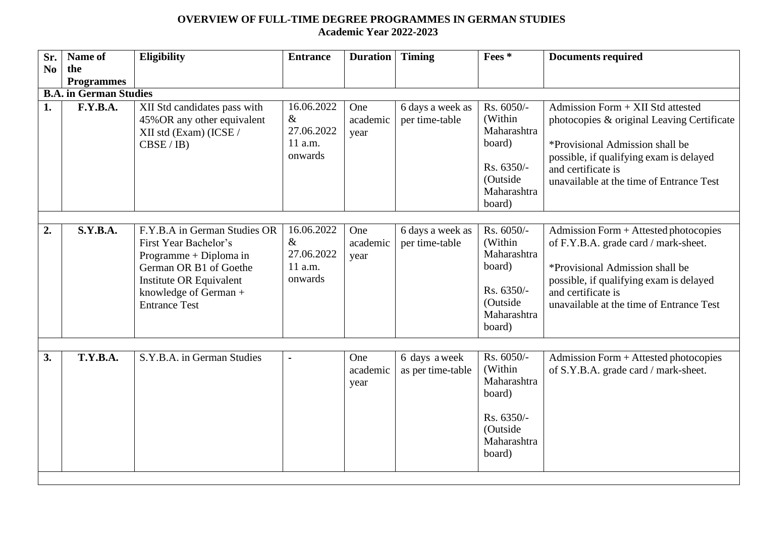## **OVERVIEW OF FULL-TIME DEGREE PROGRAMMES IN GERMAN STUDIES Academic Year 2022-2023**

| Sr.                                                | Name of         | <b>Eligibility</b>                                                                                                                                                                    | <b>Entrance</b>                                        | <b>Duration</b>         | <b>Timing</b>                      | Fees *                                                                                            | <b>Documents required</b>                                                                                                                                                                                                       |  |  |  |  |  |
|----------------------------------------------------|-----------------|---------------------------------------------------------------------------------------------------------------------------------------------------------------------------------------|--------------------------------------------------------|-------------------------|------------------------------------|---------------------------------------------------------------------------------------------------|---------------------------------------------------------------------------------------------------------------------------------------------------------------------------------------------------------------------------------|--|--|--|--|--|
| N <sub>0</sub>                                     | the             |                                                                                                                                                                                       |                                                        |                         |                                    |                                                                                                   |                                                                                                                                                                                                                                 |  |  |  |  |  |
| <b>Programmes</b><br><b>B.A. in German Studies</b> |                 |                                                                                                                                                                                       |                                                        |                         |                                    |                                                                                                   |                                                                                                                                                                                                                                 |  |  |  |  |  |
| 1.                                                 | F.Y.B.A.        | XII Std candidates pass with<br>45% OR any other equivalent<br>XII std (Exam) (ICSE /<br>CBSE / IB)                                                                                   | 16.06.2022<br>$\&$<br>27.06.2022<br>11 a.m.<br>onwards | One<br>academic<br>year | 6 days a week as<br>per time-table | Rs. 6050/-<br>(Within<br>Maharashtra<br>board)<br>Rs. 6350/-<br>(Outside<br>Maharashtra<br>board) | Admission Form + XII Std attested<br>photocopies & original Leaving Certificate<br>*Provisional Admission shall be<br>possible, if qualifying exam is delayed<br>and certificate is<br>unavailable at the time of Entrance Test |  |  |  |  |  |
| 2.                                                 | <b>S.Y.B.A.</b> | F.Y.B.A in German Studies OR<br>First Year Bachelor's<br>Programme + Diploma in<br>German OR B1 of Goethe<br>Institute OR Equivalent<br>knowledge of German +<br><b>Entrance Test</b> | 16.06.2022<br>$\&$<br>27.06.2022<br>11 a.m.<br>onwards | One<br>academic<br>year | 6 days a week as<br>per time-table | Rs. 6050/-<br>(Within<br>Maharashtra<br>board)<br>Rs. 6350/-<br>(Outside<br>Maharashtra<br>board) | Admission Form + Attested photocopies<br>of F.Y.B.A. grade card / mark-sheet.<br>*Provisional Admission shall be<br>possible, if qualifying exam is delayed<br>and certificate is<br>unavailable at the time of Entrance Test   |  |  |  |  |  |
| 3.                                                 | <b>T.Y.B.A.</b> | S.Y.B.A. in German Studies                                                                                                                                                            |                                                        | One<br>academic<br>year | 6 days a week<br>as per time-table | Rs. 6050/-<br>(Within<br>Maharashtra<br>board)<br>Rs. 6350/-<br>(Outside<br>Maharashtra<br>board) | Admission Form + Attested photocopies<br>of S.Y.B.A. grade card / mark-sheet.                                                                                                                                                   |  |  |  |  |  |